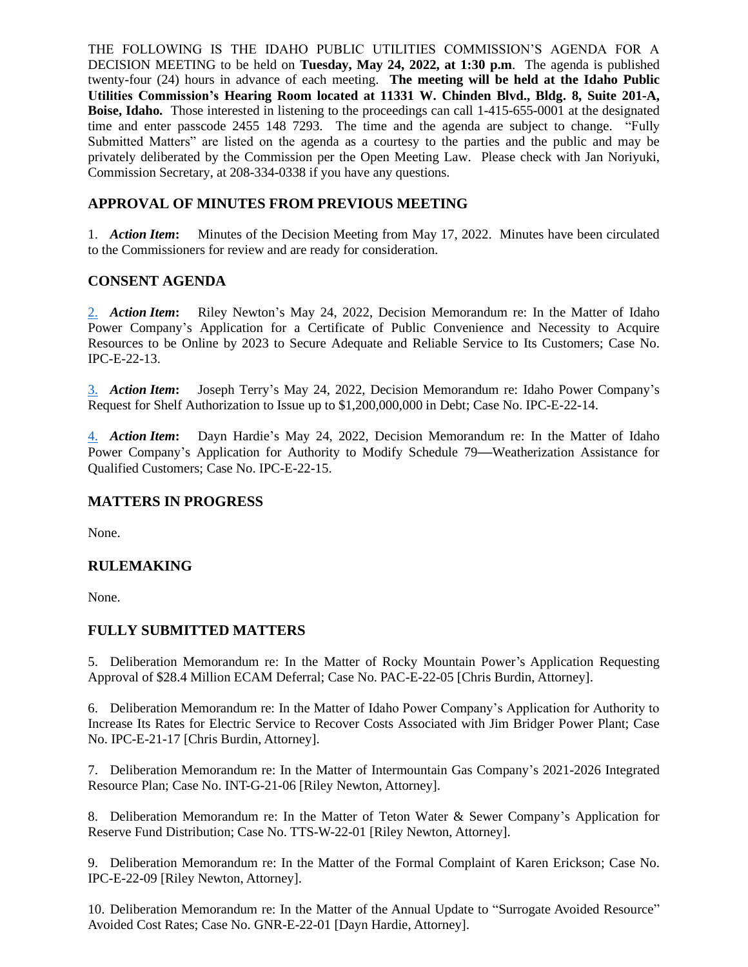THE FOLLOWING IS THE IDAHO PUBLIC UTILITIES COMMISSION'S AGENDA FOR A DECISION MEETING to be held on **Tuesday, May 24, 2022, at 1:30 p.m**. The agenda is published twenty-four (24) hours in advance of each meeting. **The meeting will be held at the Idaho Public Utilities Commission's Hearing Room located at 11331 W. Chinden Blvd., Bldg. 8, Suite 201-A, Boise, Idaho.** Those interested in listening to the proceedings can call 1-415-655-0001 at the designated time and enter passcode 2455 148 7293. The time and the agenda are subject to change. "Fully Submitted Matters" are listed on the agenda as a courtesy to the parties and the public and may be privately deliberated by the Commission per the Open Meeting Law. Please check with Jan Noriyuki, Commission Secretary, at 208-334-0338 if you have any questions.

# **APPROVAL OF MINUTES FROM PREVIOUS MEETING**

1. *Action Item***:** Minutes of the Decision Meeting from May 17, 2022. Minutes have been circulated to the Commissioners for review and are ready for consideration.

## **CONSENT AGENDA**

[2.](https://puc.idaho.gov/Fileroom/PublicFiles/Agenda/memos/2022/20220524_rn1.pdf) *Action Item***:** Riley Newton's May 24, 2022, Decision Memorandum re: In the Matter of Idaho Power Company's Application for a Certificate of Public Convenience and Necessity to Acquire Resources to be Online by 2023 to Secure Adequate and Reliable Service to Its Customers; Case No. IPC-E-22-13.

[3.](https://puc.idaho.gov/Fileroom/PublicFiles/Agenda/memos/2022/20220524_jt1.pdf) *Action Item***:** Joseph Terry's May 24, 2022, Decision Memorandum re: Idaho Power Company's Request for Shelf Authorization to Issue up to \$1,200,000,000 in Debt; Case No. IPC-E-22-14.

[4.](https://puc.idaho.gov/Fileroom/PublicFiles/Agenda/memos/2022/20220524_dh1.pdf) *Action Item***:** Dayn Hardie's May 24, 2022, Decision Memorandum re: In the Matter of Idaho Power Company's Application for Authority to Modify Schedule 79**—**Weatherization Assistance for Qualified Customers; Case No. IPC-E-22-15.

## **MATTERS IN PROGRESS**

None.

## **RULEMAKING**

None.

## **FULLY SUBMITTED MATTERS**

5. Deliberation Memorandum re: In the Matter of Rocky Mountain Power's Application Requesting Approval of \$28.4 Million ECAM Deferral; Case No. PAC-E-22-05 [Chris Burdin, Attorney].

6. Deliberation Memorandum re: In the Matter of Idaho Power Company's Application for Authority to Increase Its Rates for Electric Service to Recover Costs Associated with Jim Bridger Power Plant; Case No. IPC-E-21-17 [Chris Burdin, Attorney].

7. Deliberation Memorandum re: In the Matter of Intermountain Gas Company's 2021-2026 Integrated Resource Plan; Case No. INT-G-21-06 [Riley Newton, Attorney].

8. Deliberation Memorandum re: In the Matter of Teton Water & Sewer Company's Application for Reserve Fund Distribution; Case No. TTS-W-22-01 [Riley Newton, Attorney].

9. Deliberation Memorandum re: In the Matter of the Formal Complaint of Karen Erickson; Case No. IPC-E-22-09 [Riley Newton, Attorney].

10. Deliberation Memorandum re: In the Matter of the Annual Update to "Surrogate Avoided Resource" Avoided Cost Rates; Case No. GNR-E-22-01 [Dayn Hardie, Attorney].